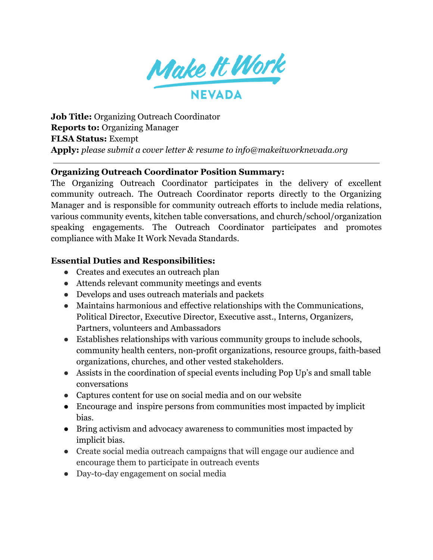

**Job Title:** Organizing Outreach Coordinator **Reports to:** Organizing Manager **FLSA Status:** Exempt **Apply:** *please submit a cover letter & resume to info@makeitworknevada.org*

### **Organizing Outreach Coordinator Position Summary:**

The Organizing Outreach Coordinator participates in the delivery of excellent community outreach. The Outreach Coordinator reports directly to the Organizing Manager and is responsible for community outreach efforts to include media relations, various community events, kitchen table conversations, and church/school/organization speaking engagements. The Outreach Coordinator participates and promotes compliance with Make It Work Nevada Standards.

### **Essential Duties and Responsibilities:**

- Creates and executes an outreach plan
- Attends relevant community meetings and events
- Develops and uses outreach materials and packets
- Maintains harmonious and effective relationships with the Communications, Political Director, Executive Director, Executive asst., Interns, Organizers, Partners, volunteers and Ambassadors
- Establishes relationships with various community groups to include schools, community health centers, non-profit organizations, resource groups, faith-based organizations, churches, and other vested stakeholders.
- Assists in the coordination of special events including Pop Up's and small table conversations
- Captures content for use on social media and on our website
- Encourage and inspire persons from communities most impacted by implicit bias.
- Bring activism and advocacy awareness to communities most impacted by implicit bias.
- Create social media outreach campaigns that will engage our audience and encourage them to participate in outreach events
- Day-to-day engagement on social media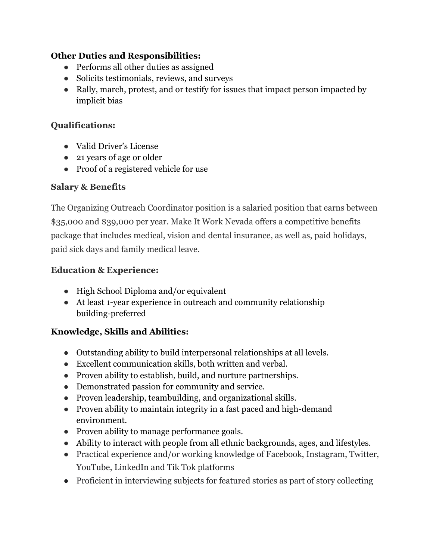# **Other Duties and Responsibilities:**

- Performs all other duties as assigned
- Solicits testimonials, reviews, and surveys
- Rally, march, protest, and or testify for issues that impact person impacted by implicit bias

## **Qualifications:**

- Valid Driver's License
- 21 years of age or older
- Proof of a registered vehicle for use

# **Salary & Benefits**

The Organizing Outreach Coordinator position is a salaried position that earns between \$35,000 and \$39,000 per year. Make It Work Nevada offers a competitive benefits package that includes medical, vision and dental insurance, as well as, paid holidays, paid sick days and family medical leave.

# **Education & Experience:**

- High School Diploma and/or equivalent
- At least 1-year experience in outreach and community relationship building-preferred

# **Knowledge, Skills and Abilities:**

- Outstanding ability to build interpersonal relationships at all levels.
- Excellent communication skills, both written and verbal.
- Proven ability to establish, build, and nurture partnerships.
- Demonstrated passion for community and service.
- Proven leadership, teambuilding, and organizational skills.
- Proven ability to maintain integrity in a fast paced and high-demand environment.
- Proven ability to manage performance goals.
- Ability to interact with people from all ethnic backgrounds, ages, and lifestyles.
- Practical experience and/or working knowledge of Facebook, Instagram, Twitter, YouTube, LinkedIn and Tik Tok platforms
- Proficient in interviewing subjects for featured stories as part of story collecting